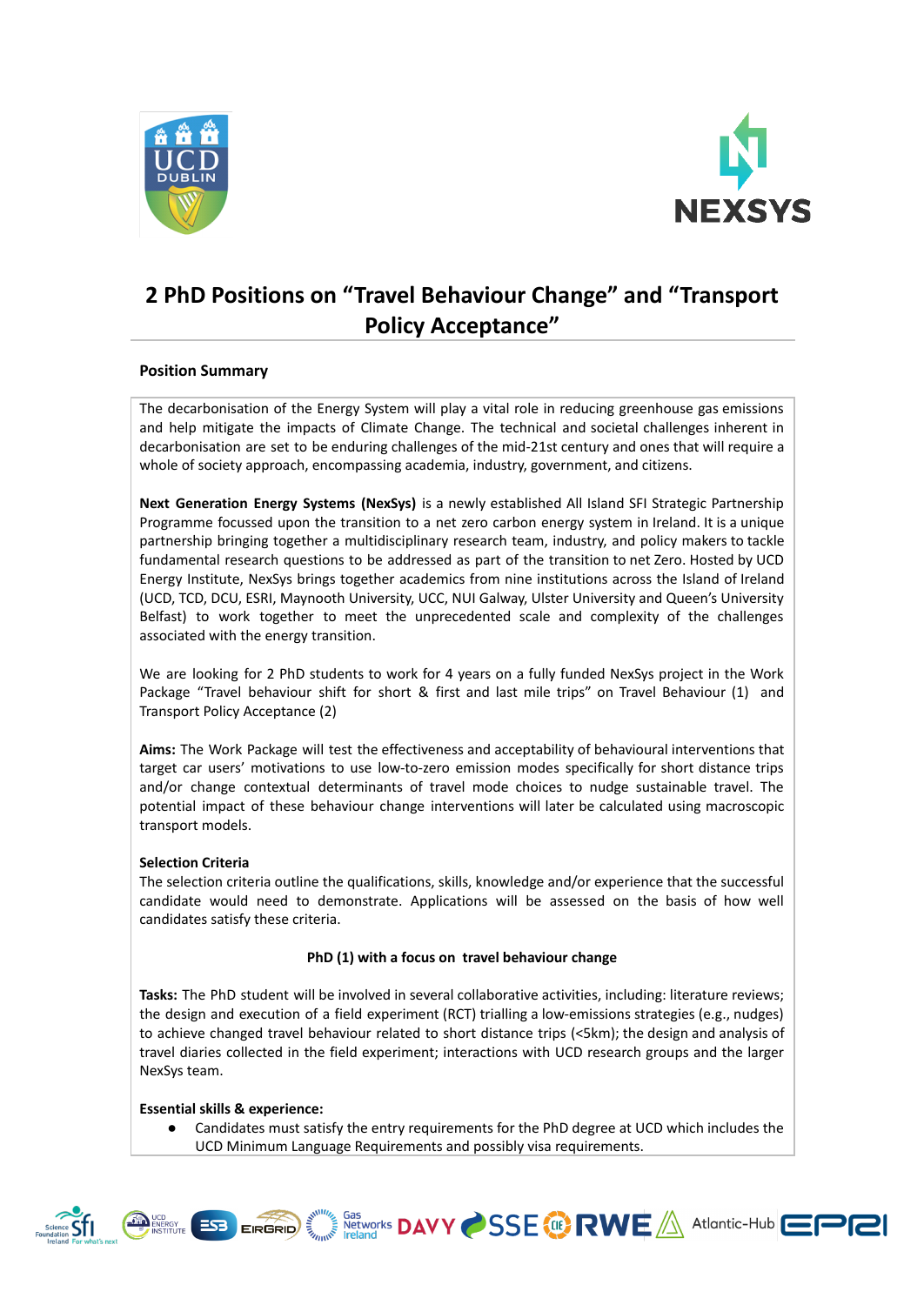



# **2 PhD Positions on "Travel Behaviour Change" and "Transport Policy Acceptance"**

# **Position Summary**

The decarbonisation of the Energy System will play a vital role in reducing greenhouse gas emissions and help mitigate the impacts of Climate Change. The technical and societal challenges inherent in decarbonisation are set to be enduring challenges of the mid-21st century and ones that will require a whole of society approach, encompassing academia, industry, government, and citizens.

**Next Generation Energy Systems (NexSys)** is a newly established All Island SFI Strategic Partnership Programme focussed upon the transition to a net zero carbon energy system in Ireland. It is a unique partnership bringing together a multidisciplinary research team, industry, and policy makers to tackle fundamental research questions to be addressed as part of the transition to net Zero. Hosted by UCD Energy Institute, NexSys brings together academics from nine institutions across the Island of Ireland (UCD, TCD, DCU, ESRI, Maynooth University, UCC, NUI Galway, Ulster University and Queen's University Belfast) to work together to meet the unprecedented scale and complexity of the challenges associated with the energy transition.

We are looking for 2 PhD students to work for 4 years on a fully funded NexSys project in the Work Package "Travel behaviour shift for short & first and last mile trips" on Travel Behaviour (1) and Transport Policy Acceptance (2)

**Aims:** The Work Package will test the effectiveness and acceptability of behavioural interventions that target car users' motivations to use low-to-zero emission modes specifically for short distance trips and/or change contextual determinants of travel mode choices to nudge sustainable travel. The potential impact of these behaviour change interventions will later be calculated using macroscopic transport models.

# **Selection Criteria**

The selection criteria outline the qualifications, skills, knowledge and/or experience that the successful candidate would need to demonstrate. Applications will be assessed on the basis of how well candidates satisfy these criteria.

# **PhD (1) with a focus on travel behaviour change**

**Tasks:** The PhD student will be involved in several collaborative activities, including: literature reviews; the design and execution of a field experiment (RCT) trialling a low-emissions strategies (e.g., nudges) to achieve changed travel behaviour related to short distance trips (<5km); the design and analysis of travel diaries collected in the field experiment; interactions with UCD research groups and the larger NexSys team.

# **Essential skills & experience:**

Candidates must satisfy the entry requirements for the PhD degree at UCD which includes the UCD Minimum Language Requirements and possibly visa requirements.

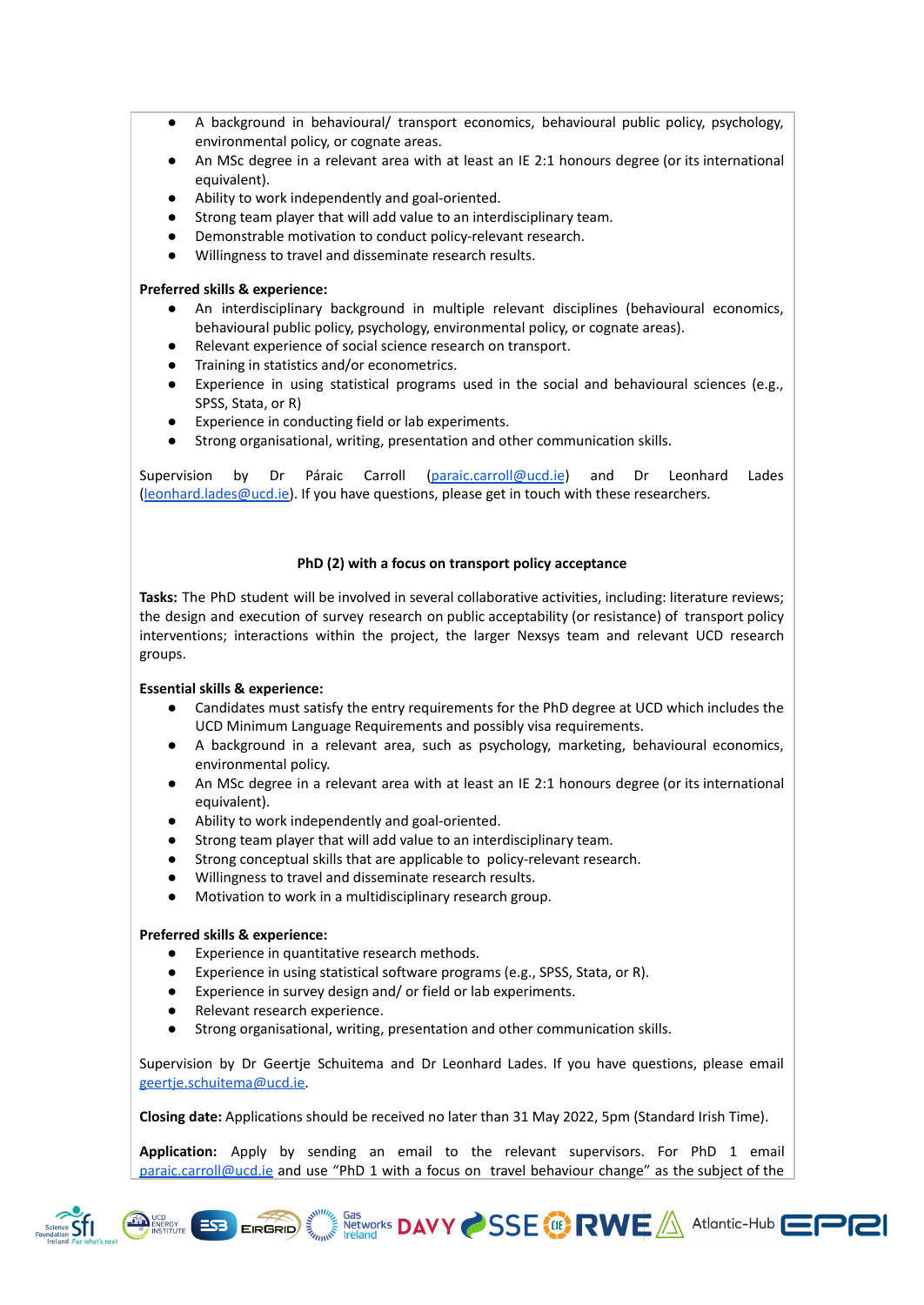- A background in behavioural/ transport economics, behavioural public policy, psychology, environmental policy, or cognate areas.
- An MSc degree in a relevant area with at least an IE 2:1 honours degree (or its international equivalent).
- Ability to work independently and goal-oriented.
- Strong team player that will add value to an interdisciplinary team.
- Demonstrable motivation to conduct policy-relevant research.
- Willingness to travel and disseminate research results.

# **Preferred skills & experience:**

- An interdisciplinary background in multiple relevant disciplines (behavioural economics, behavioural public policy, psychology, environmental policy, or cognate areas).
- Relevant experience of social science research on transport.
- Training in statistics and/or econometrics.
- Experience in using statistical programs used in the social and behavioural sciences (e.g., SPSS, Stata, or R)
- Experience in conducting field or lab experiments.
- Strong organisational, writing, presentation and other communication skills.

Supervision by Dr Páraic Carroll [\(paraic.carroll@ucd.ie](mailto:paraic.carroll@ucd.ie)) and Dr Leonhard Lades [\(leonhard.lades@ucd.ie\)](mailto:leonhard.lades@ucd.ie). If you have questions, please get in touch with these researchers.

# **PhD (2) with a focus on transport policy acceptance**

**Tasks:** The PhD student will be involved in several collaborative activities, including: literature reviews; the design and execution of survey research on public acceptability (or resistance) of transport policy interventions; interactions within the project, the larger Nexsys team and relevant UCD research groups.

### **Essential skills & experience:**

- Candidates must satisfy the entry requirements for the PhD degree at UCD which includes the UCD Minimum Language Requirements and possibly visa requirements.
- A background in a relevant area, such as psychology, marketing, behavioural economics, environmental policy.
- An MSc degree in a relevant area with at least an IE 2:1 honours degree (or its international equivalent).
- Ability to work independently and goal-oriented.
- Strong team player that will add value to an interdisciplinary team.
- Strong conceptual skills that are applicable to policy-relevant research.
- Willingness to travel and disseminate research results.
- Motivation to work in a multidisciplinary research group.

### **Preferred skills & experience:**

**THE UCD**<br>INSTITUTE

 $ESB$ 

- Experience in quantitative research methods.
- Experience in using statistical software programs (e.g., SPSS, Stata, or R).
- Experience in survey design and/ or field or lab experiments.
- Relevant research experience.

EIRGRID

● Strong organisational, writing, presentation and other communication skills.

Supervision by Dr Geertje Schuitema and Dr Leonhard Lades. If you have questions, please email [geertje.schuitema@ucd.ie.](mailto:geertje.schuitema@ucd.ie)

**Closing date:** Applications should be received no later than 31 May 2022, 5pm (Standard Irish Time).

**Application:** Apply by sending an email to the relevant supervisors. For PhD 1 email [paraic.carroll@ucd.ie](mailto:paraic.carroll@ucd.ie) and use "PhD 1 with a focus on travel behaviour change" as the subject of the

**SSE CO RWE A Atlantic-Hub EPRI**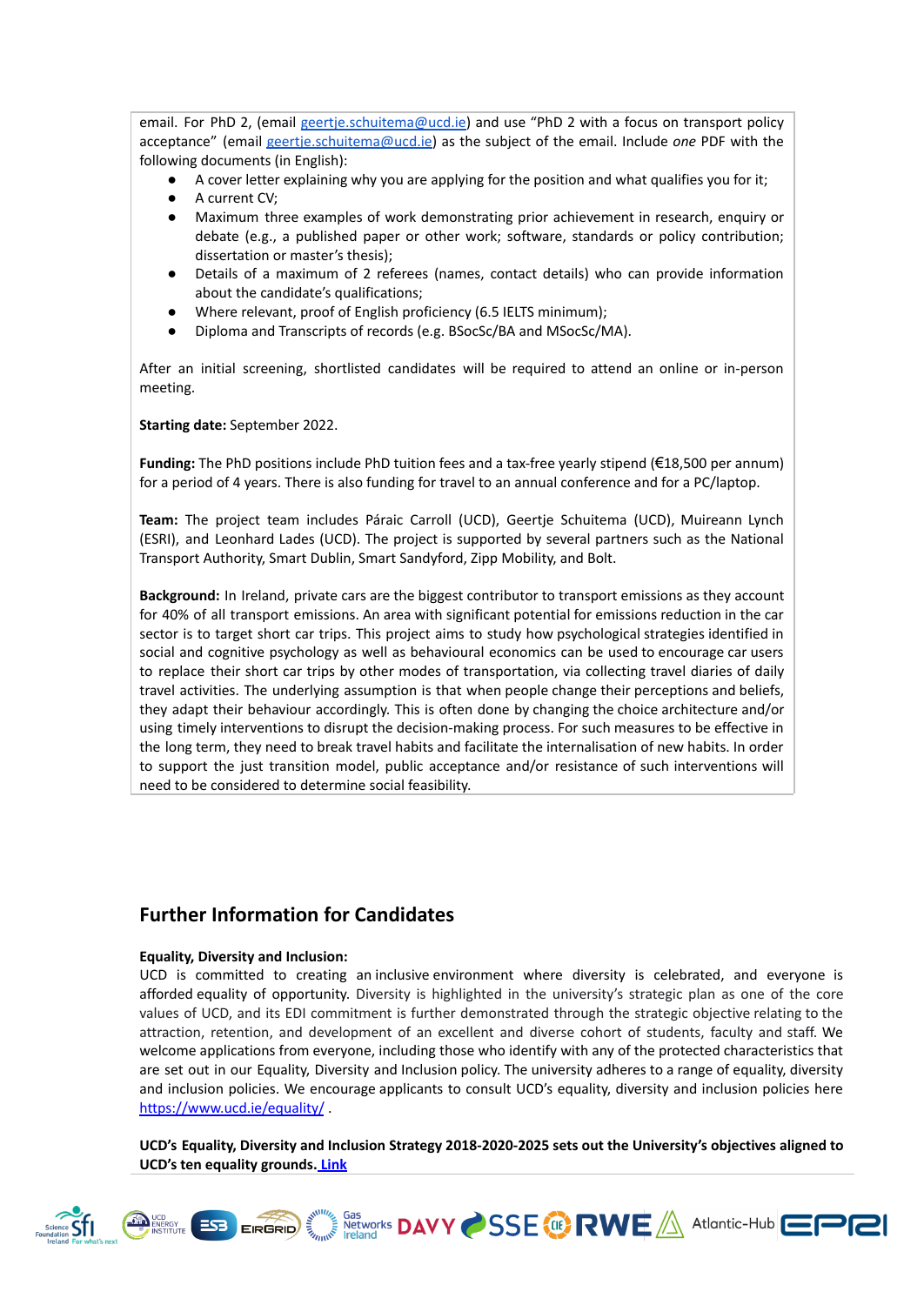email. For PhD 2, (email [geertje.schuitema@ucd.ie\)](mailto:geertje.schuitema@ucd.ie) and use "PhD 2 with a focus on transport policy acceptance" (email [geertje.schuitema@ucd.ie\)](mailto:geertje.schuitema@ucd.ie) as the subject of the email. Include *one* PDF with the following documents (in English):

- A cover letter explaining why you are applying for the position and what qualifies you for it;
- A current CV;
- Maximum three examples of work demonstrating prior achievement in research, enquiry or debate (e.g., a published paper or other work; software, standards or policy contribution; dissertation or master's thesis);
- Details of a maximum of 2 referees (names, contact details) who can provide information about the candidate's qualifications;
- Where relevant, proof of English proficiency (6.5 IELTS minimum);
- Diploma and Transcripts of records (e.g. BSocSc/BA and MSocSc/MA).

After an initial screening, shortlisted candidates will be required to attend an online or in-person meeting.

**Starting date:** September 2022.

**Funding:** The PhD positions include PhD tuition fees and a tax-free yearly stipend (€18,500 per annum) for a period of 4 years. There is also funding for travel to an annual conference and for a PC/laptop.

**Team:** The project team includes Páraic Carroll (UCD), Geertje Schuitema (UCD), Muireann Lynch (ESRI), and Leonhard Lades (UCD). The project is supported by several partners such as the National Transport Authority, Smart Dublin, Smart Sandyford, Zipp Mobility, and Bolt.

**Background:** In Ireland, private cars are the biggest contributor to transport emissions as they account for 40% of all transport emissions. An area with significant potential for emissions reduction in the car sector is to target short car trips. This project aims to study how psychological strategies identified in social and cognitive psychology as well as behavioural economics can be used to encourage car users to replace their short car trips by other modes of transportation, via collecting travel diaries of daily travel activities. The underlying assumption is that when people change their perceptions and beliefs, they adapt their behaviour accordingly. This is often done by changing the choice architecture and/or using timely interventions to disrupt the decision-making process. For such measures to be effective in the long term, they need to break travel habits and facilitate the internalisation of new habits. In order to support the just transition model, public acceptance and/or resistance of such interventions will need to be considered to determine social feasibility.

# **Further Information for Candidates**

### **Equality, Diversity and Inclusion:**

UCD is committed to creating an inclusive environment where diversity is celebrated, and everyone is afforded equality of opportunity. Diversity is highlighted in the university's strategic plan as one of the core values of UCD, and its EDI commitment is further demonstrated through the strategic objective relating to the attraction, retention, and development of an excellent and diverse cohort of students, faculty and staff. We welcome applications from everyone, including those who identify with any of the protected characteristics that are set out in our Equality, Diversity and Inclusion policy. The university adheres to a range of equality, diversity and inclusion policies. We encourage applicants to consult UCD's equality, diversity and inclusion policies here <https://www.ucd.ie/equality/>

**UCD's Equality, Diversity and Inclusion Strategy 2018-2020-2025 sets out the University's objectives aligned to UCD's ten equality grounds. [Link](https://www.ucd.ie/equality/information/publications/)**

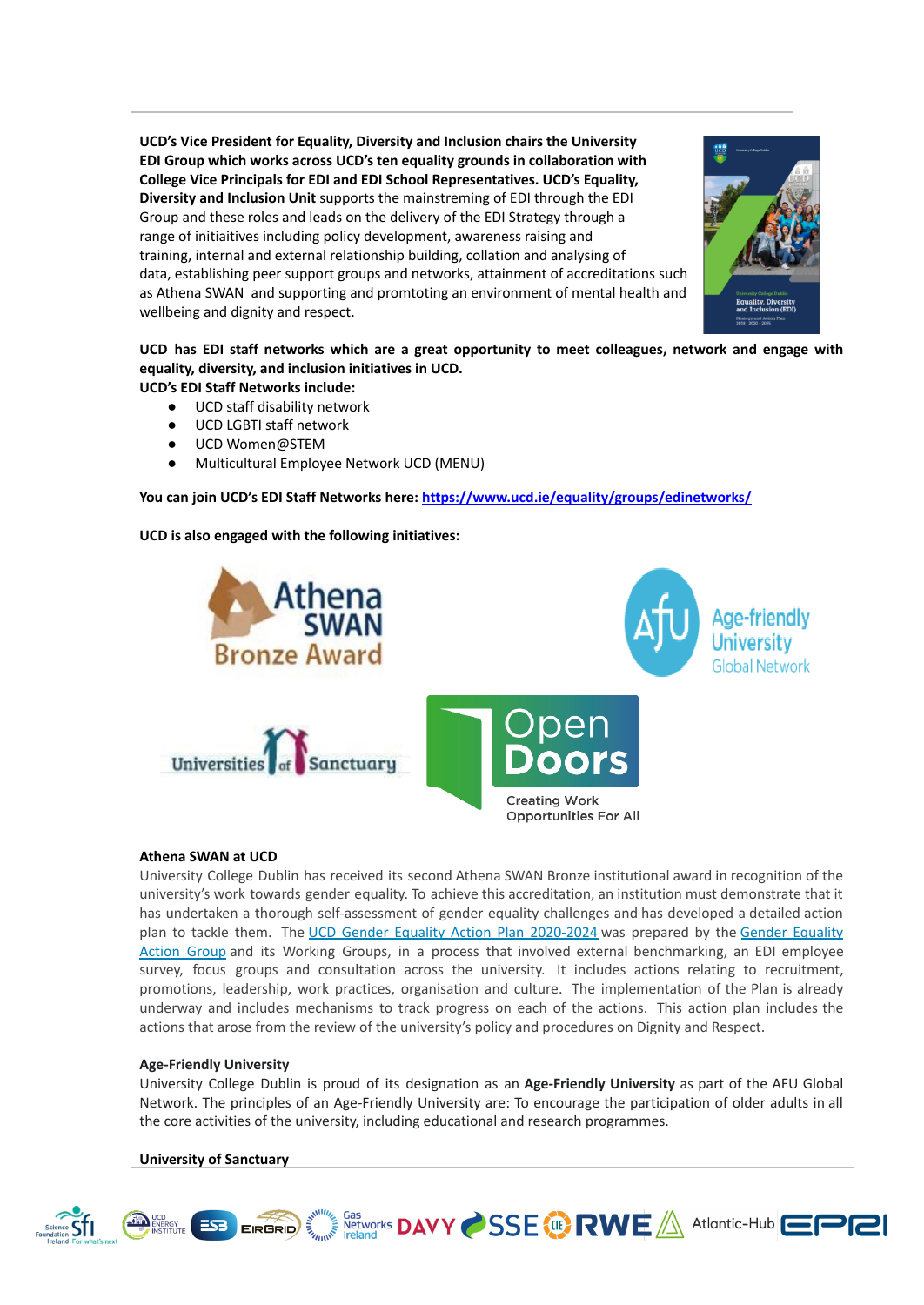**UCD's Vice President for Equality, Diversity and Inclusion chairs the University EDI Group which works across UCD's ten equality grounds in collaboration with College Vice Principals for EDI and EDI School Representatives. UCD's Equality, Diversity and Inclusion Unit** supports the mainstreming of EDI through the EDI Group and these roles and leads on the delivery of the EDI Strategy through a range of initiaitives including policy development, awareness raising and training, internal and external relationship building, collation and analysing of data, establishing peer support groups and networks, attainment of accreditations such as Athena SWAN and supporting and promtoting an environment of mental health and wellbeing and dignity and respect.



**UCD has EDI staff networks which are a great opportunity to meet colleagues, network and engage with equality, diversity, and inclusion initiatives in UCD.**

- **UCD's EDI Staff Networks include:**
	- UCD staff disability network
	- UCD LGBTI staff network
	- UCD Women@STEM
	- Multicultural Employee Network UCD (MENU)

**You can join UCD's EDI Staff Networks here: <https://www.ucd.ie/equality/groups/edinetworks/>**

### **UCD is also engaged with the following initiatives:**



### **Athena SWAN at UCD**

University College Dublin has received its second Athena SWAN Bronze institutional award in recognition of the university's work towards gender equality. To achieve this accreditation, an institution must demonstrate that it has undertaken a thorough self-assessment of gender equality challenges and has developed a detailed action plan to tackle them. The UCD Gender Equality Action Plan [2020-2024](https://www.ucd.ie/equality/t4media/GenderEqualityActionPlan%20UCD%20Final%20Sept20.pdf) was prepared by the Gender [Equality](https://www.ucd.ie/equality/groups/genderequalityactiongroup/) [Action](https://www.ucd.ie/equality/groups/genderequalityactiongroup/) Group and its Working Groups, in a process that involved external benchmarking, an EDI employee survey, focus groups and consultation across the university. It includes actions relating to recruitment, promotions, leadership, work practices, organisation and culture. The implementation of the Plan is already underway and includes mechanisms to track progress on each of the actions. This action plan includes the actions that arose from the review of the university's policy and procedures on Dignity and Respect.

### **Age-Friendly University**

University College Dublin is proud of its designation as an **Age-Friendly University** as part of the AFU Global Network. The principles of an Age-Friendly University are: To encourage the participation of older adults in all the core activities of the university, including educational and research programmes.

#### **University of Sanctuary**